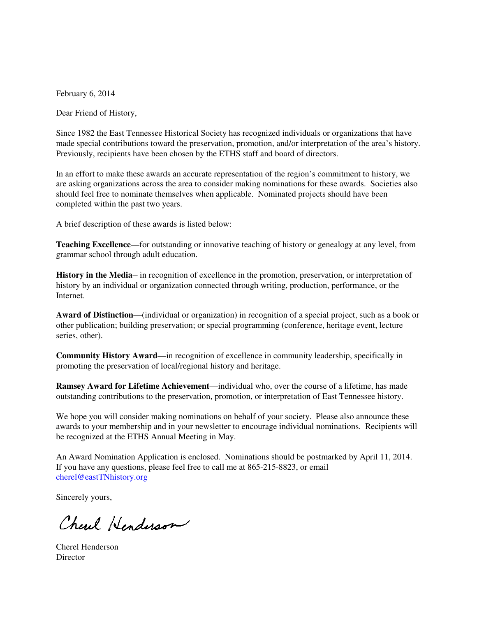February 6, 2014

Dear Friend of History,

Since 1982 the East Tennessee Historical Society has recognized individuals or organizations that have made special contributions toward the preservation, promotion, and/or interpretation of the area's history. Previously, recipients have been chosen by the ETHS staff and board of directors.

In an effort to make these awards an accurate representation of the region's commitment to history, we are asking organizations across the area to consider making nominations for these awards. Societies also should feel free to nominate themselves when applicable. Nominated projects should have been completed within the past two years.

A brief description of these awards is listed below:

**Teaching Excellence**—for outstanding or innovative teaching of history or genealogy at any level, from grammar school through adult education.

**History in the Media**— in recognition of excellence in the promotion, preservation, or interpretation of history by an individual or organization connected through writing, production, performance, or the Internet.

**Award of Distinction**—(individual or organization) in recognition of a special project, such as a book or other publication; building preservation; or special programming (conference, heritage event, lecture series, other).

**Community History Award**—in recognition of excellence in community leadership, specifically in promoting the preservation of local/regional history and heritage.

**Ramsey Award for Lifetime Achievement**—individual who, over the course of a lifetime, has made outstanding contributions to the preservation, promotion, or interpretation of East Tennessee history.

We hope you will consider making nominations on behalf of your society. Please also announce these awards to your membership and in your newsletter to encourage individual nominations. Recipients will be recognized at the ETHS Annual Meeting in May.

An Award Nomination Application is enclosed. Nominations should be postmarked by April 11, 2014. If you have any questions, please feel free to call me at 865-215-8823, or email cherel@eastTNhistory.org

Sincerely yours,

Cherel Henderson

Cherel Henderson **Director**